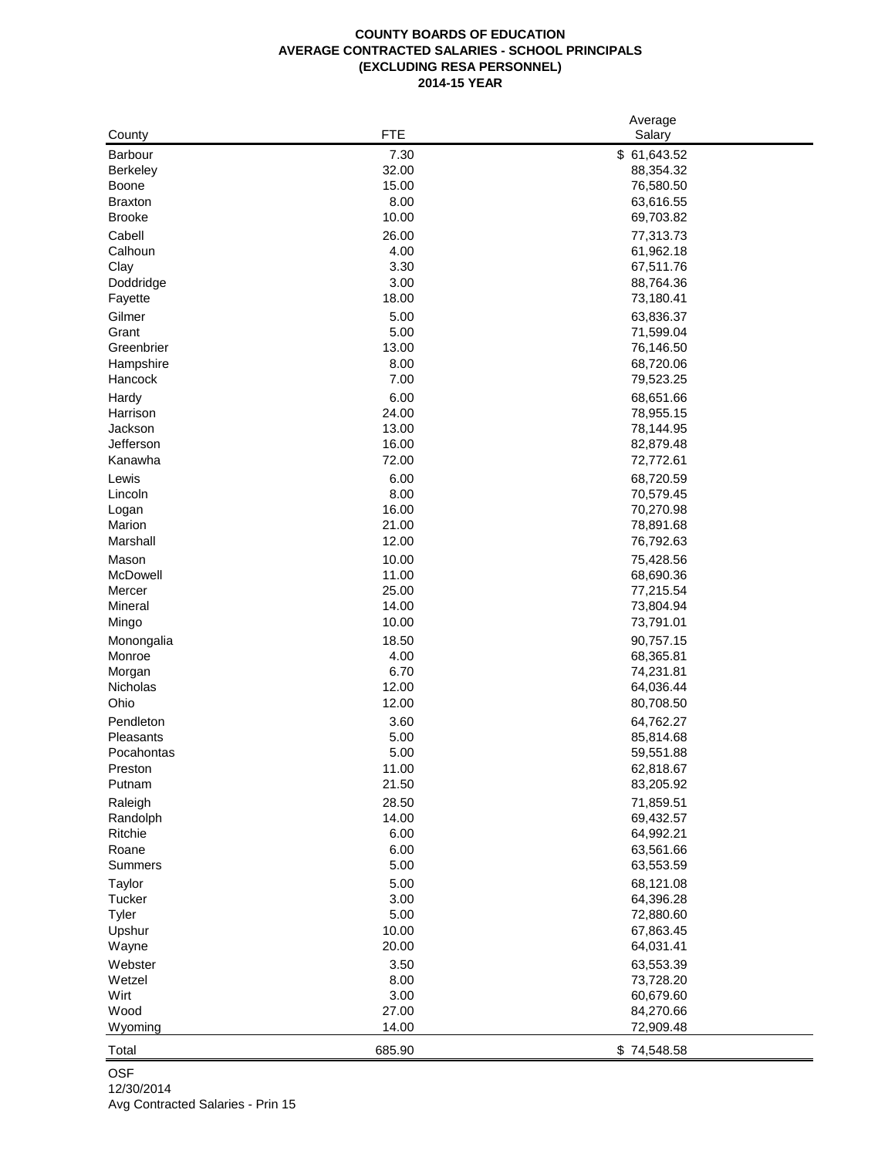## **COUNTY BOARDS OF EDUCATION AVERAGE CONTRACTED SALARIES - SCHOOL PRINCIPALS (EXCLUDING RESA PERSONNEL) 2014-15 YEAR**

|                 |        | Average      |
|-----------------|--------|--------------|
| County          | FTE    | Salary       |
| Barbour         | 7.30   | \$ 61,643.52 |
| <b>Berkeley</b> | 32.00  | 88,354.32    |
| Boone           | 15.00  | 76,580.50    |
| <b>Braxton</b>  | 8.00   | 63,616.55    |
| <b>Brooke</b>   | 10.00  | 69,703.82    |
| Cabell          | 26.00  | 77,313.73    |
| Calhoun         | 4.00   | 61,962.18    |
| Clay            | 3.30   | 67,511.76    |
| Doddridge       | 3.00   | 88,764.36    |
| Fayette         | 18.00  | 73,180.41    |
| Gilmer          | 5.00   | 63,836.37    |
| Grant           | 5.00   | 71,599.04    |
| Greenbrier      | 13.00  | 76,146.50    |
| Hampshire       | 8.00   | 68,720.06    |
| Hancock         | 7.00   | 79,523.25    |
| Hardy           | 6.00   | 68,651.66    |
| Harrison        | 24.00  | 78,955.15    |
| Jackson         | 13.00  | 78,144.95    |
| Jefferson       | 16.00  | 82,879.48    |
| Kanawha         | 72.00  | 72,772.61    |
| Lewis           | 6.00   | 68,720.59    |
| Lincoln         | 8.00   | 70,579.45    |
| Logan           | 16.00  | 70,270.98    |
| Marion          | 21.00  | 78,891.68    |
| Marshall        | 12.00  | 76,792.63    |
| Mason           | 10.00  | 75,428.56    |
| McDowell        | 11.00  | 68,690.36    |
| Mercer          | 25.00  | 77,215.54    |
| Mineral         | 14.00  | 73,804.94    |
| Mingo           | 10.00  | 73,791.01    |
| Monongalia      | 18.50  | 90,757.15    |
| Monroe          | 4.00   | 68,365.81    |
| Morgan          | 6.70   | 74,231.81    |
| Nicholas        | 12.00  | 64,036.44    |
| Ohio            | 12.00  | 80,708.50    |
| Pendleton       | 3.60   | 64,762.27    |
| Pleasants       | 5.00   | 85,814.68    |
| Pocahontas      | 5.00   | 59,551.88    |
| Preston         | 11.00  | 62,818.67    |
| Putnam          | 21.50  | 83,205.92    |
| Raleigh         | 28.50  | 71,859.51    |
| Randolph        | 14.00  | 69,432.57    |
| Ritchie         | 6.00   | 64,992.21    |
| Roane           | 6.00   | 63,561.66    |
| Summers         | 5.00   | 63,553.59    |
| Taylor          | 5.00   | 68,121.08    |
| Tucker          | 3.00   | 64,396.28    |
| Tyler           | 5.00   | 72,880.60    |
| Upshur          | 10.00  | 67,863.45    |
| Wayne           | 20.00  | 64,031.41    |
| Webster         | 3.50   | 63,553.39    |
| Wetzel          | 8.00   | 73,728.20    |
| Wirt            | 3.00   | 60,679.60    |
| Wood            | 27.00  | 84,270.66    |
| Wyoming         | 14.00  | 72,909.48    |
|                 |        |              |
| Total           | 685.90 | \$74,548.58  |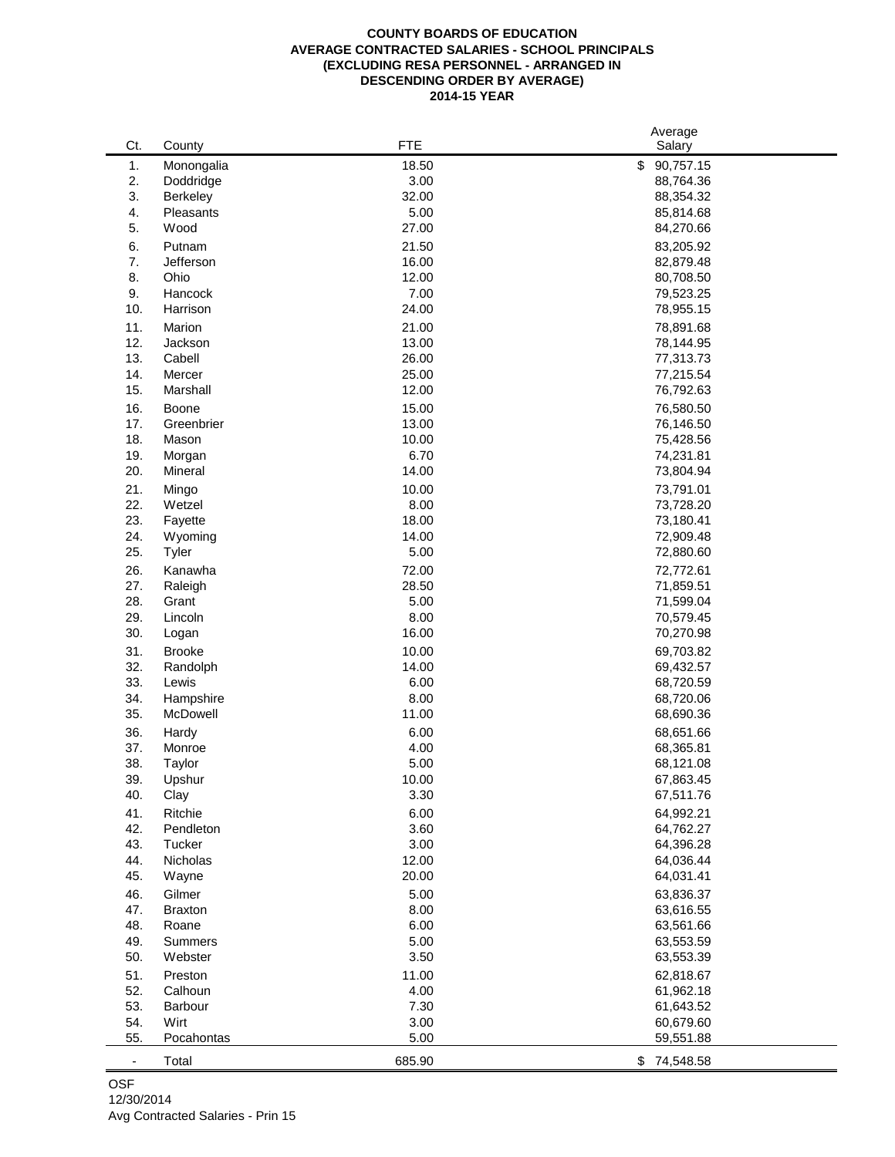## **COUNTY BOARDS OF EDUCATION AVERAGE CONTRACTED SALARIES - SCHOOL PRINCIPALS (EXCLUDING RESA PERSONNEL - ARRANGED IN DESCENDING ORDER BY AVERAGE) 2014-15 YEAR**

|                          |                |            | Average         |  |
|--------------------------|----------------|------------|-----------------|--|
| Ct.                      | County         | <b>FTE</b> | Salary          |  |
| 1.                       | Monongalia     | 18.50      | 90,757.15<br>\$ |  |
| 2.                       | Doddridge      | 3.00       | 88,764.36       |  |
| 3.                       | Berkeley       | 32.00      | 88,354.32       |  |
| 4.                       | Pleasants      | 5.00       | 85,814.68       |  |
| 5.                       | Wood           | 27.00      | 84,270.66       |  |
|                          |                |            |                 |  |
| 6.                       | Putnam         | 21.50      | 83,205.92       |  |
| 7.                       | Jefferson      | 16.00      | 82,879.48       |  |
| 8.                       | Ohio           | 12.00      | 80,708.50       |  |
| 9.                       | Hancock        | 7.00       | 79,523.25       |  |
| 10.                      | Harrison       | 24.00      | 78,955.15       |  |
| 11.                      | Marion         | 21.00      | 78,891.68       |  |
| 12.                      | Jackson        | 13.00      | 78,144.95       |  |
| 13.                      | Cabell         | 26.00      | 77,313.73       |  |
| 14.                      | Mercer         | 25.00      | 77,215.54       |  |
| 15.                      | Marshall       | 12.00      | 76,792.63       |  |
| 16.                      | Boone          | 15.00      | 76,580.50       |  |
| 17.                      | Greenbrier     | 13.00      | 76,146.50       |  |
| 18.                      | Mason          | 10.00      | 75,428.56       |  |
|                          |                | 6.70       |                 |  |
| 19.                      | Morgan         |            | 74,231.81       |  |
| 20.                      | Mineral        | 14.00      | 73,804.94       |  |
| 21.                      | Mingo          | 10.00      | 73,791.01       |  |
| 22.                      | Wetzel         | 8.00       | 73,728.20       |  |
| 23.                      | Fayette        | 18.00      | 73,180.41       |  |
| 24.                      | Wyoming        | 14.00      | 72,909.48       |  |
| 25.                      | Tyler          | 5.00       | 72,880.60       |  |
| 26.                      | Kanawha        | 72.00      | 72,772.61       |  |
| 27.                      | Raleigh        | 28.50      | 71,859.51       |  |
| 28.                      | Grant          | 5.00       | 71,599.04       |  |
| 29.                      | Lincoln        | 8.00       | 70,579.45       |  |
| 30.                      | Logan          | 16.00      | 70,270.98       |  |
| 31.                      | <b>Brooke</b>  | 10.00      |                 |  |
| 32.                      |                |            | 69,703.82       |  |
|                          | Randolph       | 14.00      | 69,432.57       |  |
| 33.                      | Lewis          | 6.00       | 68,720.59       |  |
| 34.                      | Hampshire      | 8.00       | 68,720.06       |  |
| 35.                      | McDowell       | 11.00      | 68,690.36       |  |
| 36.                      | Hardy          | 6.00       | 68,651.66       |  |
| 37.                      | Monroe         | 4.00       | 68,365.81       |  |
| 38.                      | Taylor         | 5.00       | 68,121.08       |  |
| 39.                      | Upshur         | 10.00      | 67,863.45       |  |
| 40.                      | Clay           | 3.30       | 67,511.76       |  |
| 41.                      | Ritchie        | 6.00       | 64,992.21       |  |
| 42.                      | Pendleton      | 3.60       | 64,762.27       |  |
| 43.                      | Tucker         | 3.00       | 64,396.28       |  |
| 44.                      | Nicholas       | 12.00      | 64,036.44       |  |
| 45.                      | Wayne          | 20.00      | 64,031.41       |  |
|                          |                |            |                 |  |
| 46.                      | Gilmer         | 5.00       | 63,836.37       |  |
| 47.                      | <b>Braxton</b> | 8.00       | 63,616.55       |  |
| 48.                      | Roane          | 6.00       | 63,561.66       |  |
| 49.                      | <b>Summers</b> | 5.00       | 63,553.59       |  |
| 50.                      | Webster        | 3.50       | 63,553.39       |  |
| 51.                      | Preston        | 11.00      | 62,818.67       |  |
| 52.                      | Calhoun        | 4.00       | 61,962.18       |  |
| 53.                      | Barbour        | 7.30       | 61,643.52       |  |
| 54.                      | Wirt           | 3.00       | 60,679.60       |  |
| 55.                      | Pocahontas     | 5.00       | 59,551.88       |  |
|                          |                |            |                 |  |
| $\overline{\phantom{a}}$ | Total          | 685.90     | \$74,548.58     |  |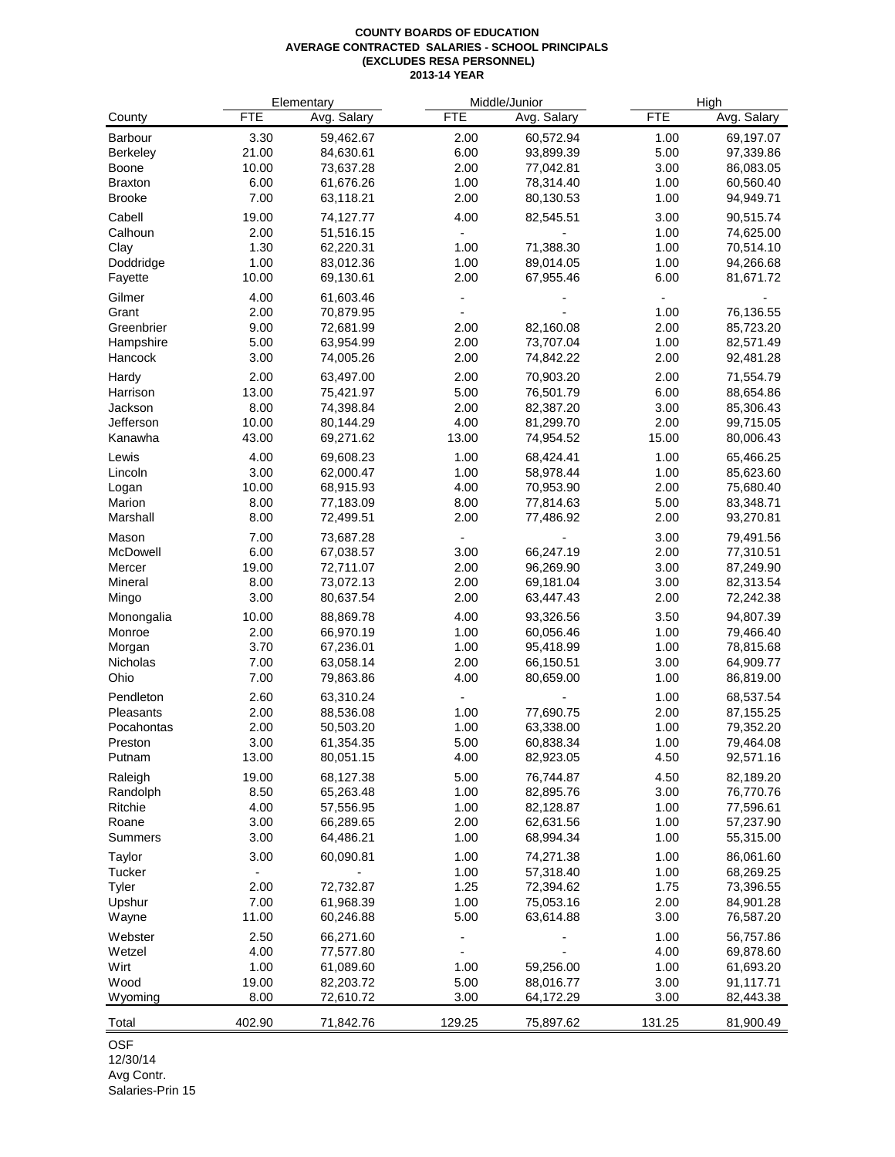## **COUNTY BOARDS OF EDUCATION AVERAGE CONTRACTED SALARIES - SCHOOL PRINCIPALS (EXCLUDES RESA PERSONNEL) 2013-14 YEAR**

|                 |                          | Elementary  |            | Middle/Junior |            | High        |  |
|-----------------|--------------------------|-------------|------------|---------------|------------|-------------|--|
| County          | <b>FTE</b>               | Avg. Salary | <b>FTE</b> | Avg. Salary   | <b>FTE</b> | Avg. Salary |  |
| Barbour         | 3.30                     | 59,462.67   | 2.00       | 60,572.94     | 1.00       | 69,197.07   |  |
| <b>Berkeley</b> | 21.00                    | 84,630.61   | 6.00       | 93,899.39     | 5.00       | 97,339.86   |  |
| Boone           | 10.00                    | 73,637.28   | 2.00       | 77,042.81     | 3.00       | 86,083.05   |  |
| <b>Braxton</b>  | 6.00                     | 61,676.26   | 1.00       | 78,314.40     | 1.00       | 60,560.40   |  |
| <b>Brooke</b>   | 7.00                     | 63,118.21   | 2.00       | 80,130.53     | 1.00       | 94,949.71   |  |
| Cabell          | 19.00                    | 74,127.77   | 4.00       | 82,545.51     | 3.00       | 90,515.74   |  |
| Calhoun         | 2.00                     | 51,516.15   |            |               | 1.00       | 74,625.00   |  |
| Clay            | 1.30                     | 62,220.31   | 1.00       | 71,388.30     | 1.00       | 70,514.10   |  |
| Doddridge       | 1.00                     | 83,012.36   | 1.00       | 89,014.05     | 1.00       | 94,266.68   |  |
| Fayette         | 10.00                    | 69,130.61   | 2.00       | 67,955.46     | 6.00       | 81,671.72   |  |
| Gilmer          | 4.00                     | 61,603.46   |            |               |            |             |  |
| Grant           | 2.00                     | 70,879.95   |            |               | 1.00       | 76,136.55   |  |
| Greenbrier      | 9.00                     | 72,681.99   | 2.00       | 82,160.08     | 2.00       | 85,723.20   |  |
| Hampshire       | 5.00                     | 63,954.99   | 2.00       | 73,707.04     | 1.00       | 82,571.49   |  |
| Hancock         | 3.00                     | 74,005.26   | 2.00       | 74,842.22     | 2.00       | 92,481.28   |  |
| Hardy           | 2.00                     | 63,497.00   | 2.00       | 70,903.20     | 2.00       | 71,554.79   |  |
| Harrison        | 13.00                    | 75,421.97   | 5.00       | 76,501.79     | 6.00       | 88,654.86   |  |
| Jackson         | 8.00                     | 74,398.84   | 2.00       | 82,387.20     | 3.00       | 85,306.43   |  |
| Jefferson       | 10.00                    | 80,144.29   | 4.00       | 81,299.70     | 2.00       | 99,715.05   |  |
| Kanawha         | 43.00                    | 69,271.62   | 13.00      | 74,954.52     | 15.00      | 80,006.43   |  |
| Lewis           | 4.00                     | 69,608.23   | 1.00       | 68,424.41     | 1.00       | 65,466.25   |  |
| Lincoln         | 3.00                     | 62,000.47   | 1.00       | 58,978.44     | 1.00       | 85,623.60   |  |
| Logan           | 10.00                    | 68,915.93   | 4.00       | 70,953.90     | 2.00       | 75,680.40   |  |
| Marion          | 8.00                     | 77,183.09   | 8.00       | 77,814.63     | 5.00       | 83,348.71   |  |
| Marshall        | 8.00                     | 72,499.51   | 2.00       | 77,486.92     | 2.00       | 93,270.81   |  |
| Mason           | 7.00                     | 73,687.28   |            |               | 3.00       | 79,491.56   |  |
| McDowell        | 6.00                     | 67,038.57   | 3.00       | 66,247.19     | 2.00       | 77,310.51   |  |
| Mercer          | 19.00                    | 72,711.07   | 2.00       | 96,269.90     | 3.00       | 87,249.90   |  |
| Mineral         | 8.00                     | 73,072.13   | 2.00       | 69,181.04     | 3.00       | 82,313.54   |  |
| Mingo           | 3.00                     | 80,637.54   | 2.00       | 63,447.43     | 2.00       | 72,242.38   |  |
| Monongalia      | 10.00                    | 88,869.78   | 4.00       | 93,326.56     | 3.50       | 94,807.39   |  |
| Monroe          | 2.00                     | 66,970.19   | 1.00       | 60,056.46     | 1.00       | 79,466.40   |  |
| Morgan          | 3.70                     | 67,236.01   | 1.00       | 95,418.99     | 1.00       | 78,815.68   |  |
| Nicholas        | 7.00                     | 63,058.14   | 2.00       | 66,150.51     | 3.00       | 64,909.77   |  |
| Ohio            | 7.00                     | 79,863.86   | 4.00       | 80,659.00     | 1.00       | 86,819.00   |  |
| Pendleton       | 2.60                     | 63,310.24   |            |               | 1.00       | 68,537.54   |  |
| Pleasants       | 2.00                     | 88,536.08   | 1.00       | 77,690.75     | 2.00       | 87,155.25   |  |
| Pocahontas      | 2.00                     | 50,503.20   | 1.00       | 63,338.00     | 1.00       | 79,352.20   |  |
| Preston         | 3.00                     | 61,354.35   | 5.00       | 60,838.34     | 1.00       | 79,464.08   |  |
| Putnam          | 13.00                    | 80,051.15   | 4.00       | 82,923.05     | 4.50       | 92,571.16   |  |
| Raleigh         | 19.00                    | 68,127.38   | 5.00       | 76,744.87     | 4.50       | 82,189.20   |  |
| Randolph        | 8.50                     | 65,263.48   | 1.00       | 82,895.76     | 3.00       | 76,770.76   |  |
| Ritchie         | 4.00                     | 57,556.95   | 1.00       | 82,128.87     | 1.00       | 77,596.61   |  |
| Roane           | 3.00                     | 66,289.65   | 2.00       | 62,631.56     | 1.00       | 57,237.90   |  |
| Summers         | 3.00                     | 64,486.21   | 1.00       | 68,994.34     | 1.00       | 55,315.00   |  |
| Taylor          | 3.00                     | 60,090.81   | 1.00       | 74,271.38     | 1.00       | 86,061.60   |  |
| Tucker          | $\overline{\phantom{a}}$ |             | 1.00       | 57,318.40     | 1.00       | 68,269.25   |  |
| Tyler           | 2.00                     | 72,732.87   | 1.25       | 72,394.62     | 1.75       | 73,396.55   |  |
| Upshur          | 7.00                     | 61,968.39   | 1.00       | 75,053.16     | 2.00       | 84,901.28   |  |
| Wayne           | 11.00                    | 60,246.88   | 5.00       | 63,614.88     | 3.00       | 76,587.20   |  |
| Webster         | 2.50                     | 66,271.60   |            |               | 1.00       | 56,757.86   |  |
| Wetzel          | 4.00                     | 77,577.80   |            |               | 4.00       | 69,878.60   |  |
| Wirt            | 1.00                     | 61,089.60   | 1.00       | 59,256.00     | 1.00       | 61,693.20   |  |
| Wood            | 19.00                    | 82,203.72   | 5.00       | 88,016.77     | 3.00       | 91,117.71   |  |
| Wyoming         | 8.00                     | 72,610.72   | 3.00       | 64,172.29     | 3.00       | 82,443.38   |  |
| Total           | 402.90                   | 71,842.76   | 129.25     | 75,897.62     | 131.25     | 81,900.49   |  |

OSF

12/30/14

Avg Contr. Salaries-Prin 15